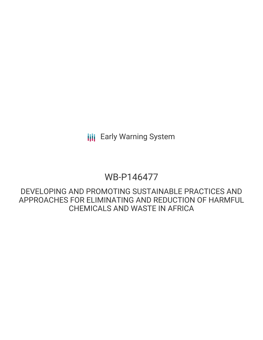**III** Early Warning System

# WB-P146477

DEVELOPING AND PROMOTING SUSTAINABLE PRACTICES AND APPROACHES FOR ELIMINATING AND REDUCTION OF HARMFUL CHEMICALS AND WASTE IN AFRICA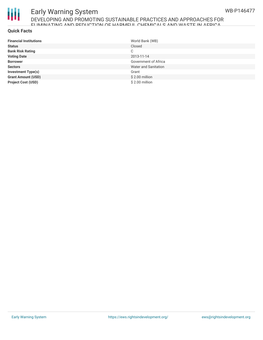

# Early Warning System DEVELOPING AND PROMOTING SUSTAINABLE PRACTICES AND APPROACHES FOR ELIMINATING AND REDUCTION OF HARMFUL CHEMICALS AND WASTE IN AFRICA

#### **Quick Facts**

| <b>Financial Institutions</b> | World Bank (WB)      |
|-------------------------------|----------------------|
| <b>Status</b>                 | Closed               |
| <b>Bank Risk Rating</b>       | C                    |
| <b>Voting Date</b>            | 2013-11-14           |
| <b>Borrower</b>               | Government of Africa |
| <b>Sectors</b>                | Water and Sanitation |
| <b>Investment Type(s)</b>     | Grant                |
| <b>Grant Amount (USD)</b>     | $$2.00$ million      |
| <b>Project Cost (USD)</b>     | $$2.00$ million      |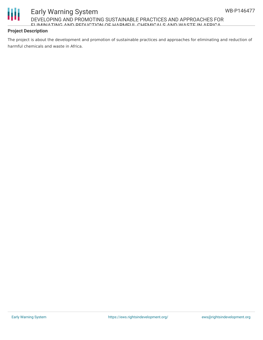# Ш

# Early Warning System DEVELOPING AND PROMOTING SUSTAINABLE PRACTICES AND APPROACHES FOR ELIMINATING AND REDUCTION OF HARMFUL CHEMICALS AND WASTE IN AFRICA

#### **Project Description**

The project is about the development and promotion of sustainable practices and approaches for eliminating and reduction of harmful chemicals and waste in Africa.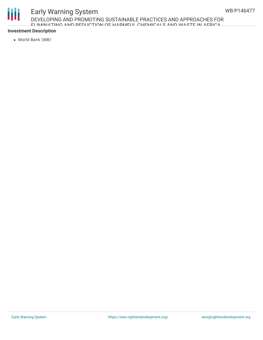# Ш

# Early Warning System DEVELOPING AND PROMOTING SUSTAINABLE PRACTICES AND APPROACHES FOR ELIMINATING AND REDUCTION OF HARMFUL CHEMICALS AND WASTE IN AFRICA

### **Investment Description**

World Bank (WB)